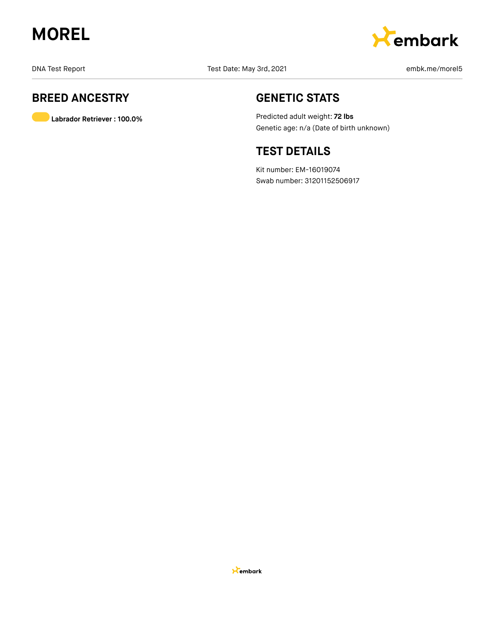



## **BREED ANCESTRY**

**Labrador Retriever : 100.0%**

## **GENETIC STATS**

Predicted adult weight: **72 lbs** Genetic age: n/a (Date of birth unknown)

## **TEST DETAILS**

Kit number: EM-16019074 Swab number: 31201152506917

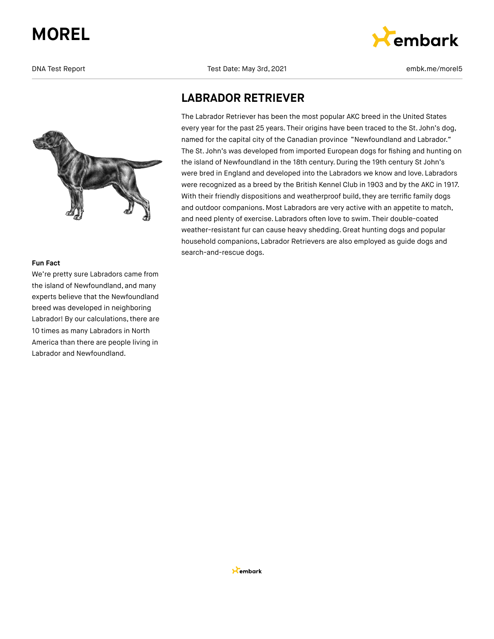

#### **Fun Fact**

We're pretty sure Labradors came from the island of Newfoundland, and many experts believe that the Newfoundland breed was developed in neighboring Labrador! By our calculations, there are 10 times as many Labradors in North America than there are people living in Labrador and Newfoundland.

DNA Test Date: May 3rd, 2021 embk.me/morel5



## **LABRADOR RETRIEVER**

The Labrador Retriever has been the most popular AKC breed in the United States every year for the past 25 years. Their origins have been traced to the St. John's dog, named for the capital city of the Canadian province "Newfoundland and Labrador." The St. John's was developed from imported European dogs for fishing and hunting on the island of Newfoundland in the 18th century.During the 19th century St John's were bred in England and developed into the Labradors we know and love. Labradors were recognized as a breed by the British Kennel Club in 1903 and by the AKC in 1917. With their friendly dispositions and weatherproof build, they are terrific family dogs and outdoor companions. Most Labradors are very active with an appetite to match, and need plenty of exercise. Labradors often love to swim. Their double-coated weather-resistant fur can cause heavy shedding. Great hunting dogs and popular household companions, Labrador Retrievers are also employed as guide dogs and search-and-rescue dogs.

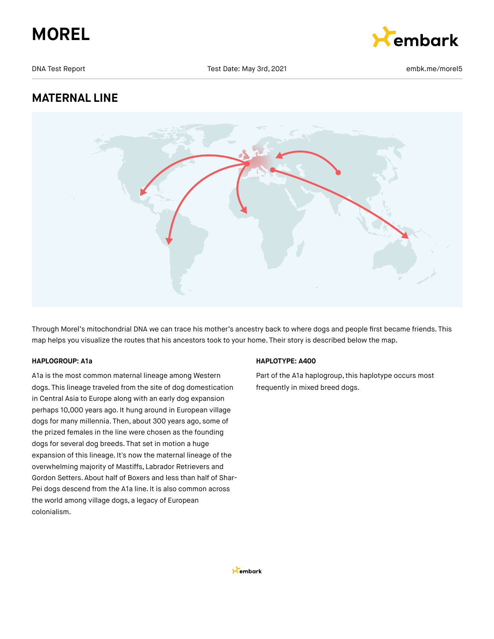



DNA Test Date: May 3rd, 2021 **Example 2018** 2021 **embk.me/morel5** 

## **MATERNAL LINE**



Through Morel's mitochondrial DNA we can trace his mother's ancestry back to where dogs and people first became friends. This map helps you visualize the routes that his ancestors took to your home. Their story is described below the map.

#### **HAPLOGROUP: A1a**

A1a is the most common maternal lineage among Western dogs. This lineage traveled from the site of dog domestication in Central Asia to Europe along with an early dog expansion perhaps 10,000 years ago. It hung around in European village dogs for many millennia. Then, about 300 years ago, some of the prized females in the line were chosen as the founding dogs for several dog breeds. That set in motion a huge expansion of this lineage. It's now the maternal lineage of the overwhelming majority of Mastiffs, Labrador Retrievers and Gordon Setters. About half of Boxers and less than half of Shar-Pei dogs descend from the A1a line. It is also common across the world among village dogs, a legacy of European colonialism.

#### **HAPLOTYPE: A400**

Part of the A1a haplogroup, this haplotype occurs most frequently in mixed breed dogs.

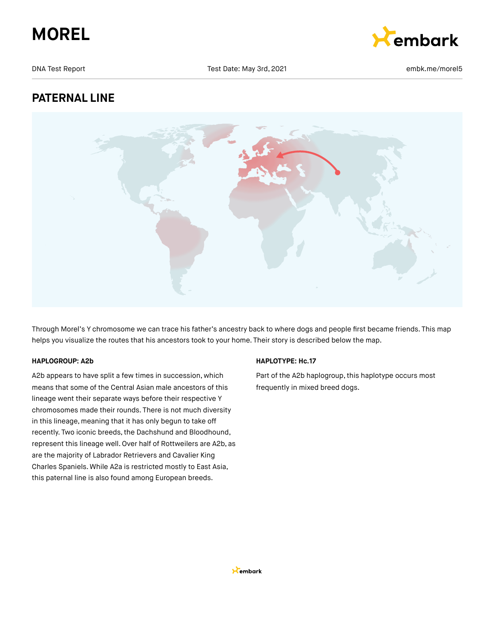



DNA Test Date: May 3rd, 2021 **Example 2021** embk.me/morel5

## **PATERNAL LINE**



Through Morel's Y chromosome we can trace his father's ancestry back to where dogs and people first became friends. This map helps you visualize the routes that his ancestors took to your home. Their story is described below the map.

#### **HAPLOGROUP: A2b**

A2b appears to have split a few times in succession, which means that some of the Central Asian male ancestors of this lineage went their separate ways before their respective Y chromosomes made their rounds. There is not much diversity in this lineage, meaning that it has only begun to take off recently. Two iconic breeds, the Dachshund and Bloodhound, represent this lineage well. Over half of Rottweilers are A2b, as are the majority of Labrador Retrievers and Cavalier King Charles Spaniels. While A2a is restricted mostly to East Asia, this paternal line is also found among European breeds.

#### **HAPLOTYPE: Hc.17**

Part of the A2b haplogroup, this haplotype occurs most frequently in mixed breed dogs.

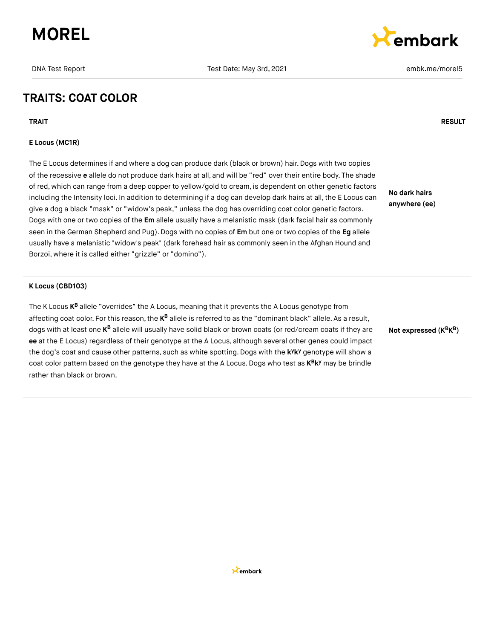



## **TRAITS: COAT COLOR**

**TRAIT RESULT**

#### **E Locus (MC1R)**

The E Locus determines if and where a dog can produce dark (black or brown) hair. Dogs with two copies of the recessive **e** allele do not produce dark hairs at all, and will be "red" over their entire body. The shade of red, which can range from a deep copper to yellow/gold to cream, is dependent on other genetic factors including the Intensity loci. In addition to determining if a dog can develop dark hairs at all, the E Locus can give a dog a black "mask" or "widow's peak," unless the dog has overriding coat color genetic factors. Dogs with one or two copies of the **Em** allele usually have a melanistic mask (dark facial hair as commonly seen in the German Shepherd and Pug).Dogs with no copies of **Em** but one or two copies of the **Eg** allele usually have a melanistic "widow's peak" (dark forehead hair as commonly seen in the Afghan Hound and Borzoi, where it is called either "grizzle" or "domino").

**No dark hairs anywhere (ee)**

#### **K Locus (CBD103)**

The K Locus **K<sup>B</sup>** allele "overrides" the A Locus, meaning that it prevents the A Locus genotype from affecting coat color. For this reason, the **K<sup>B</sup> allele is referred to as the "dominant** black" allele. As a result, dogs with at least one **K<sup>B</sup> allele will usually have solid black** or brown coats (or red/cream coats if they are **ee** at the E Locus) regardless of their genotype at the A Locus, although several other genes could impact the dog's coat and cause other patterns, such as white spotting. Dogs with the k<sup>y</sup>k<sup>y</sup> genotype will show a coat color pattern based on the genotype they have at the A Locus. Dogs who test as  $K^B K^y$  may be brindle rather than black or brown.

**Not expressed (K K ) B B**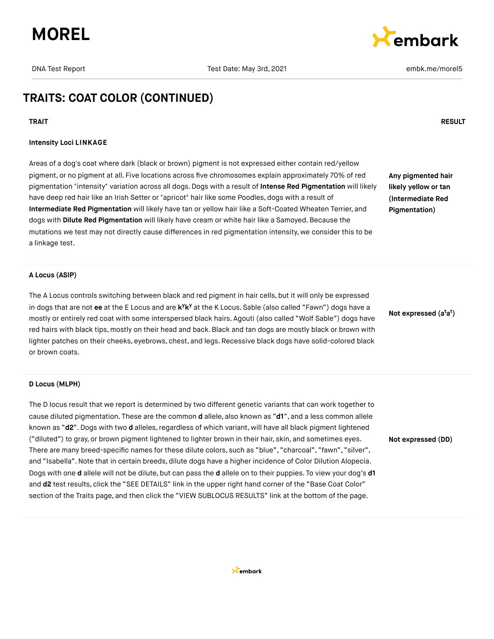



## **TRAITS: COAT COLOR (CONTINUED)**

#### **TRAIT RESULT**

#### **Intensity Loci LINKAGE**

Areas of a dog's coat where dark (black or brown) pigment is not expressed either contain red/yellow pigment, or no pigment at all. Five locations across five chromosomes explain approximately 70% of red pigmentation "intensity" variation across all dogs. Dogs with a result of **Intense Red Pigmentation** will likely have deep red hair like an Irish Setter or "apricot" hair like some Poodles, dogs with a result of **Intermediate Red Pigmentation** will likely have tan or yellow hair like a Soft-Coated Wheaten Terrier, and dogs with **Dilute Red Pigmentation** will likely have cream or white hair like a Samoyed. Because the mutations we test may not directly cause differences in red pigmentation intensity, we consider this to be a linkage test.

**Any pigmented hair likely yellow or tan (Intermediate Red Pigmentation)**

#### **A Locus (ASIP)**

The A Locus controls switching between black and red pigment in hair cells, but it will only be expressed in dogs that are not ee at the E Locus and are k<sup>y</sup>k<sup>y</sup> at the K Locus. Sable (also called "Fawn") dogs have a mostly or entirely red coat with some interspersed black hairs. Agouti (also called "Wolf Sable") dogs have red hairs with black tips, mostly on their head and back.Black and tan dogs are mostly black or brown with lighter patches on their cheeks, eyebrows, chest, and legs. Recessive black dogs have solid-colored black or brown coats.

**Not expressed (a a ) t t**

**Not expressed (DD)**

#### **D Locus (MLPH)**

The D locus result that we report is determined by two different genetic variants that can work together to cause diluted pigmentation. These are the common **d** allele, also known as "**d1**", and a less common allele known as "d2". Dogs with two d alleles, regardless of which variant, will have all black pigment lightened ("diluted") to gray, or brown pigment lightened to lighter brown in their hair, skin, and sometimes eyes. There are many breed-specific names for these dilute colors, such as "blue", "charcoal", "fawn", "silver", and "Isabella".Note that in certain breeds, dilute dogs have a higher incidence of Color Dilution Alopecia. Dogs with one **d** allele will not be dilute, but can pass the **d** allele on to their puppies. To view your dog's **d1** and **d2** test results, click the "SEE DETAILS" link in the upper right hand corner of the "Base Coat Color" section of the Traits page, and then click the "VIEW SUBLOCUS RESULTS" link at the bottom of the page.

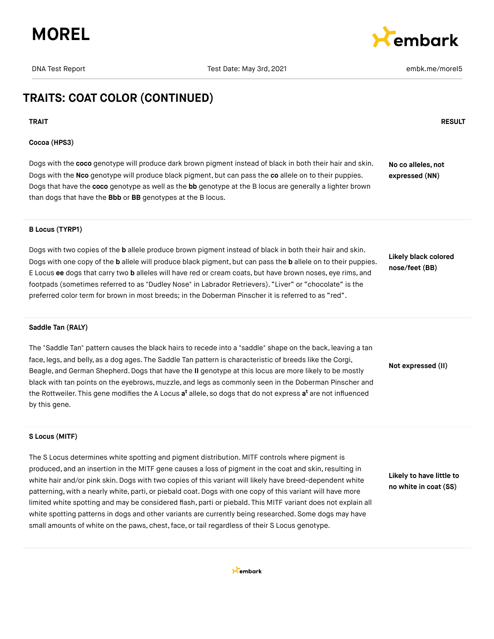



## **TRAITS: COAT COLOR (CONTINUED)**

#### **TRAIT RESULT**

#### **Cocoa (HPS3)**

Dogs with the **coco** genotype will produce dark brown pigment instead of black in both their hair and skin. Dogs with the **Nco** genotype will produce black pigment, but can pass the **co** allele on to their puppies. Dogs that have the **coco** genotype as well as the **bb** genotype at the B locus are generally a lighter brown than dogs that have the **Bbb** or **BB** genotypes at the B locus. **No co alleles, not expressed (NN)**

### **B Locus (TYRP1)**

Dogs with two copies of the **b** allele produce brown pigment instead of black in both their hair and skin. Dogs with one copy of the **b** allele will produce black pigment, but can pass the **b** allele on to their puppies. E Locus **ee** dogs that carry two **b** alleles will have red or cream coats, but have brown noses, eye rims, and footpads (sometimes referred to as "Dudley Nose" in Labrador Retrievers). "Liver" or "chocolate" is the preferred color term for brown in most breeds; in the Doberman Pinscher it is referred to as "red".

**Likely black colored nose/feet (BB)**

**Not expressed (II)**

#### **Saddle Tan (RALY)**

The "Saddle Tan" pattern causes the black hairs to recede into a "saddle" shape on the back, leaving a tan face, legs, and belly, as a dog ages. The Saddle Tan pattern is characteristic of breeds like the Corgi, Beagle, and German Shepherd.Dogs that have the **II** genotype at this locus are more likely to be mostly black with tan points on the eyebrows, muzzle, and legs as commonly seen in the Doberman Pinscher and the Rottweiler. This gene modifies the A Locus **a<sup>t</sup>** allele, so dogs that do not express **a<sup>t</sup>** are not influenced by this gene.

## **S Locus (MITF)**

The S Locus determines white spotting and pigment distribution. MITF controls where pigment is produced, and an insertion in the MITF gene causes a loss of pigment in the coat and skin, resulting in white hair and/or pink skin. Dogs with two copies of this variant will likely have breed-dependent white patterning, with a nearly white, parti, or piebald coat. Dogs with one copy of this variant will have more limited white spotting and may be considered flash, parti or piebald. This MITF variant does not explain all white spotting patterns in dogs and other variants are currently being researched. Some dogs may have small amounts of white on the paws, chest, face, or tail regardless of their S Locus genotype.

**Likely to have little to no white in coat (SS)**

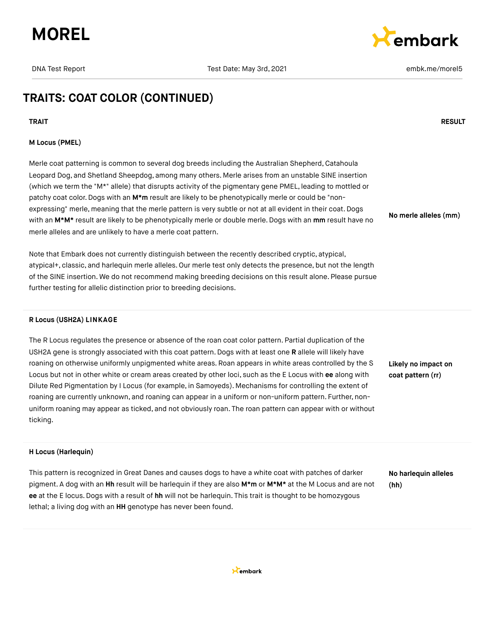



## **TRAITS: COAT COLOR (CONTINUED)**

#### **TRAIT RESULT**

#### **M Locus (PMEL)**

Merle coat patterning is common to several dog breeds including the Australian Shepherd, Catahoula Leopard Dog, and Shetland Sheepdog, among many others. Merle arises from an unstable SINE insertion (which we term the "M\*" allele) that disrupts activity of the pigmentary gene PMEL, leading to mottled or patchy coat color. Dogs with an M<sup>\*</sup>m result are likely to be phenotypically merle or could be "nonexpressing" merle, meaning that the merle pattern is very subtle or not at all evident in their coat. Dogs with an **M\*M\*** result are likely to be phenotypically merle or double merle. Dogs with an **mm** result have no merle alleles and are unlikely to have a merle coat pattern.

Note that Embark does not currently distinguish between the recently described cryptic, atypical, atypical+, classic, and harlequin merle alleles. Our merle test only detects the presence, but not the length of the SINE insertion. We do not recommend making breeding decisions on this result alone. Please pursue further testing for allelic distinction prior to breeding decisions.

#### **R Locus (USH2A) LINKAGE**

The R Locus regulates the presence or absence of the roan coat color pattern. Partial duplication of the USH2A gene is strongly associated with this coat pattern. Dogs with at least one **R** allele will likely have roaning on otherwise uniformly unpigmented white areas. Roan appears in white areas controlled by the S Locus but not in other white or cream areas created by other loci, such as the E Locus with **ee** along with Dilute Red Pigmentation by I Locus (for example, in Samoyeds). Mechanisms for controlling the extent of roaning are currently unknown, and roaning can appear in a uniform or non-uniform pattern. Further, nonuniform roaning may appear as ticked, and not obviously roan. The roan pattern can appear with or without ticking.

**Likely no impact on coat pattern (rr)**

**No merle alleles (mm)**

#### **H Locus (Harlequin)**

This pattern is recognized in Great Danes and causes dogs to have a white coat with patches of darker pigment. A dog with an **Hh** result will be harlequin if they are also **M\*m** or **M\*M\*** at the M Locus and are not **ee** at the E locus.Dogs with a result of **hh** will not be harlequin. This trait is thought to be homozygous lethal; a living dog with an **HH** genotype has never been found.

**No harlequin alleles (hh)**

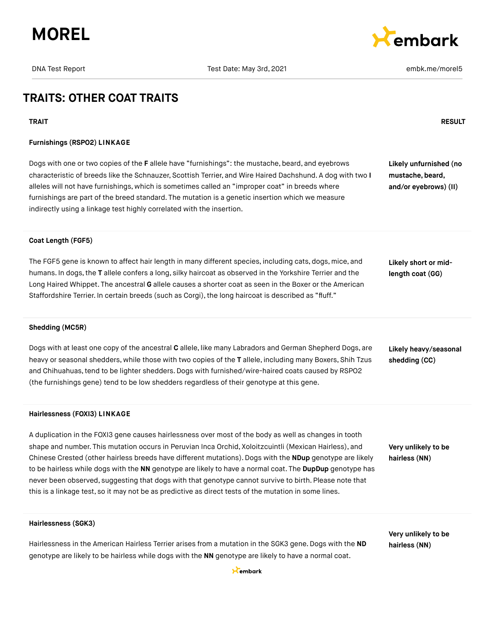



## **TRAITS: OTHER COAT TRAITS**

#### **TRAIT RESULT**

#### **Furnishings (RSPO2) LINKAGE**

Dogs with one or two copies of the **F** allele have "furnishings": the mustache, beard, and eyebrows characteristic of breeds like the Schnauzer, Scottish Terrier, and Wire Haired Dachshund. A dog with two **I** alleles will not have furnishings, which is sometimes called an "improper coat" in breeds where furnishings are part of the breed standard. The mutation is a genetic insertion which we measure indirectly using a linkage test highly correlated with the insertion.

**Likely unfurnished (no mustache, beard, and/or eyebrows) (II)**

#### **Coat Length (FGF5)**

The FGF5 gene is known to affect hair length in many different species, including cats, dogs, mice, and humans. In dogs,the **T** allele confers a long, silky haircoat as observed in the Yorkshire Terrier and the Long Haired Whippet. The ancestral **G** allele causes a shorter coat as seen in the Boxer or the American Staffordshire Terrier. In certain breeds (such as Corgi), the long haircoat is described as "fluff."

**Likely short or midlength coat (GG)**

#### **Shedding (MC5R)**

Dogs with at least one copy of the ancestral **C** allele, like many Labradors and German Shepherd Dogs, are heavy or seasonal shedders, while those with two copies of the **T** allele, including many Boxers, Shih Tzus and Chihuahuas,tend to be lighter shedders.Dogs with furnished/wire-haired coats caused by RSPO2 (the furnishings gene) tend to be low shedders regardless of their genotype at this gene.

#### **Hairlessness (FOXI3) LINKAGE**

A duplication in the FOXI3 gene causes hairlessness over most of the body as well as changes in tooth shape and number. This mutation occurs in Peruvian Inca Orchid, Xoloitzcuintli (Mexican Hairless), and Chinese Crested (other hairless breeds have different mutations). Dogs with the **NDup** genotype are likely to be hairless while dogs with the **NN** genotype are likely to have a normal coat. The **DupDup** genotype has never been observed, suggesting that dogs with that genotype cannot survive to birth. Please note that this is a linkage test, so it may not be as predictive as direct tests of the mutation in some lines.

**Likely heavy/seasonal shedding (CC)**

**Very unlikely to be hairless (NN)**

#### **Hairlessness (SGK3)**

Hairlessness in the American Hairless Terrier arises from a mutation in the SGK3 gene. Dogs with the **ND** genotype are likely to be hairless while dogs with the **NN** genotype are likely to have a normal coat.

**Very unlikely to be hairless (NN)**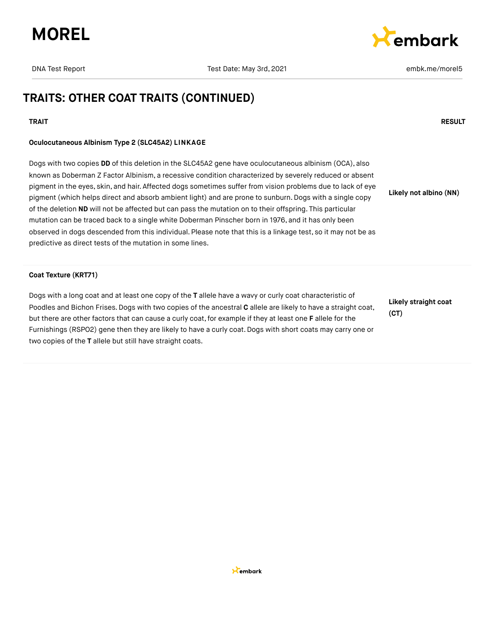



## **TRAITS: OTHER COAT TRAITS (CONTINUED)**

#### **TRAIT RESULT**

#### **Oculocutaneous Albinism Type 2 (SLC45A2) LINKAGE**

Dogs with two copies **DD** of this deletion in the SLC45A2 gene have oculocutaneous albinism (OCA), also known as Doberman Z Factor Albinism, a recessive condition characterized by severely reduced or absent pigment in the eyes, skin, and hair. Affected dogs sometimes suffer from vision problems due to lack of eye pigment (which helps direct and absorb ambient light) and are prone to sunburn. Dogs with a single copy of the deletion **ND** will not be affected but can pass the mutation on to their offspring. This particular mutation can be traced back to a single white Doberman Pinscher born in 1976, and it has only been observed in dogs descended from this individual. Please note that this is a linkage test, so it may not be as predictive as direct tests of the mutation in some lines. **Likely not albino (NN)**

#### **Coat Texture (KRT71)**

Dogs with a long coat and at least one copy of the **T** allele have a wavy or curly coat characteristic of Poodles and Bichon Frises. Dogs with two copies of the ancestral **C** allele are likely to have a straight coat, but there are other factors that can cause a curly coat,for example if they at least one **F** allele for the Furnishings (RSPO2) gene then they are likely to have a curly coat. Dogs with short coats may carry one or two copies of the **T** allele but still have straight coats.

**Likely straight coat (CT)**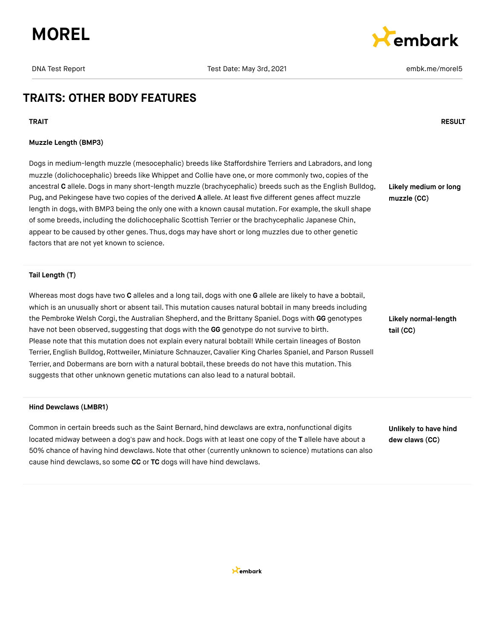



## **TRAITS: OTHER BODY FEATURES**

**TRAIT RESULT**

#### **Muzzle Length (BMP3)**

Dogs in medium-length muzzle (mesocephalic) breeds like Staffordshire Terriers and Labradors, and long muzzle (dolichocephalic) breeds like Whippet and Collie have one, or more commonly two, copies of the ancestral **C** allele.Dogs in many short-length muzzle (brachycephalic) breeds such as the English Bulldog, Pug, and Pekingese have two copies of the derived **A** allele. At least five different genes affect muzzle length in dogs, with BMP3 being the only one with a known causal mutation. For example, the skull shape of some breeds, including the dolichocephalic Scottish Terrier or the brachycephalic Japanese Chin, appear to be caused by other genes. Thus, dogs may have short or long muzzles due to other genetic factors that are not yet known to science.

**Likely medium or long muzzle (CC)**

#### **Tail Length (T)**

Whereas most dogs have two **C** alleles and a long tail, dogs with one **G** allele are likely to have a bobtail, which is an unusually short or absent tail. This mutation causes natural bobtail in many breeds including the Pembroke Welsh Corgi, the Australian Shepherd, and the Brittany Spaniel. Dogs with GG genotypes have not been observed, suggesting that dogs with the **GG** genotype do not survive to birth. Please note that this mutation does not explain every natural bobtail! While certain lineages of Boston Terrier, English Bulldog,Rottweiler, Miniature Schnauzer, Cavalier King Charles Spaniel, and Parson Russell Terrier, and Dobermans are born with a natural bobtail, these breeds do not have this mutation. This suggests that other unknown genetic mutations can also lead to a natural bobtail.

#### **Hind Dewclaws (LMBR1)**

Common in certain breeds such as the Saint Bernard, hind dewclaws are extra, nonfunctional digits located midway between a dog's paw and hock. Dogs with at least one copy of the **T** allele have about a 50% chance of having hind dewclaws.Note that other (currently unknown to science) mutations can also cause hind dewclaws, so some **CC** or **TC** dogs will have hind dewclaws.

**Likely normal-length tail (CC)**

**Unlikely to have hind dew claws (CC)**

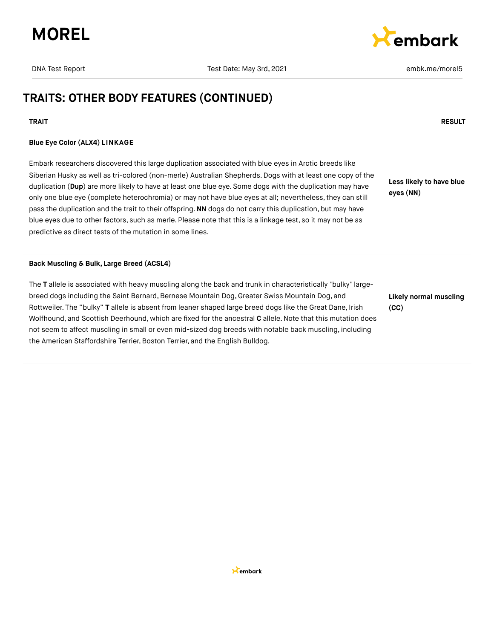



## **TRAITS: OTHER BODY FEATURES (CONTINUED)**

#### **TRAIT RESULT**

#### **Blue Eye Color (ALX4) LINKAGE**

Embark researchers discovered this large duplication associated with blue eyes in Arctic breeds like Siberian Husky as well as tri-colored (non-merle) Australian Shepherds. Dogs with at least one copy of the duplication (**Dup**) are more likely to have at least one blue eye. Some dogs with the duplication may have only one blue eye (complete heterochromia) or may not have blue eyes at all; nevertheless,they can still pass the duplication and the trait to their offspring.**NN** dogs do not carry this duplication, but may have blue eyes due to other factors, such as merle. Please note that this is a linkage test, so it may not be as predictive as direct tests of the mutation in some lines.

**Less likely to have blue eyes (NN)**

#### **Back Muscling & Bulk, Large Breed (ACSL4)**

The **T** allele is associated with heavy muscling along the back and trunk in characteristically "bulky" largebreed dogs including the Saint Bernard, Bernese Mountain Dog, Greater Swiss Mountain Dog, and Rottweiler. The "bulky" **T** allele is absent from leaner shaped large breed dogs like the Great Dane, Irish Wolfhound, and Scottish Deerhound, which are fixed for the ancestral **C** allele.Note that this mutation does not seem to affect muscling in small or even mid-sized dog breeds with notable back muscling, including the American Staffordshire Terrier, Boston Terrier, and the English Bulldog.

**Likely normal muscling (CC)**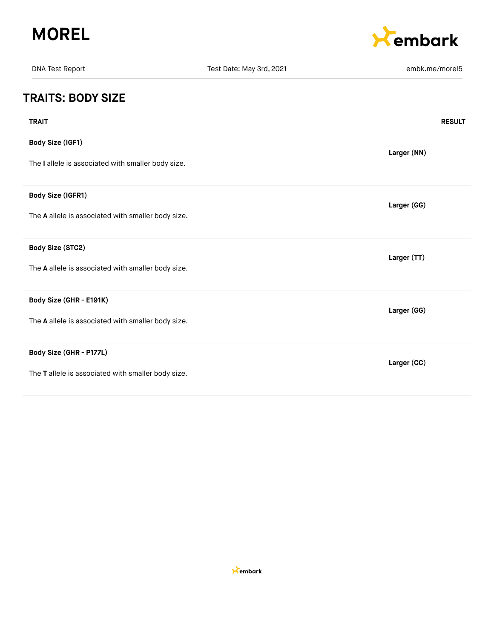



| <b>DNA Test Report</b>                                                 | Test Date: May 3rd, 2021 | embk.me/morel5 |
|------------------------------------------------------------------------|--------------------------|----------------|
| <b>TRAITS: BODY SIZE</b>                                               |                          |                |
| <b>TRAIT</b>                                                           |                          | <b>RESULT</b>  |
| Body Size (IGF1)<br>The I allele is associated with smaller body size. |                          | Larger (NN)    |
|                                                                        |                          |                |
| Body Size (IGFR1)                                                      |                          | Larger (GG)    |
| The A allele is associated with smaller body size.                     |                          |                |
| <b>Body Size (STC2)</b>                                                |                          | Larger (TT)    |
| The A allele is associated with smaller body size.                     |                          |                |
| Body Size (GHR - E191K)                                                |                          | Larger (GG)    |
| The A allele is associated with smaller body size.                     |                          |                |
| Body Size (GHR - P177L)                                                |                          | Larger (CC)    |
| The T allele is associated with smaller body size.                     |                          |                |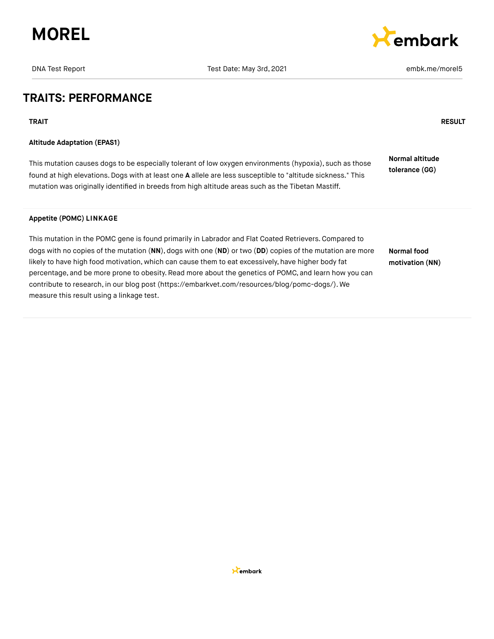

DNA Test Date: May 3rd, 2021 **Example 2018** 2021 **embk.me/morel5** 

embark

## **TRAITS: PERFORMANCE**

**TRAIT RESULT**

#### **Altitude Adaptation (EPAS1)**

This mutation causes dogs to be especially tolerant of low oxygen environments (hypoxia), such as those found at high elevations.Dogs with at least one **A** allele are less susceptible to "altitude sickness." This mutation was originally identified in breeds from high altitude areas such as the Tibetan Mastiff. **Normal altitude tolerance (GG)**

#### **Appetite (POMC) LINKAGE**

This mutation in the POMC gene is found primarily in Labrador and Flat Coated Retrievers.Compared to dogs with no copies of the mutation (**NN**), dogs with one (**ND**) or two (**DD**) copies of the mutation are more likely to have high food motivation, which can cause them to eat excessively, have higher body fat percentage, and be more prone to obesity. Read more about the genetics of POMC, and learn how you can contribute to research, in our blog post [\(https://embarkvet.com/resources/blog/pomc-dogs/\).](https://embarkvet.com/resources/blog/pomc-dogs/) We measure this result using a linkage test. **Normal food motivation (NN)**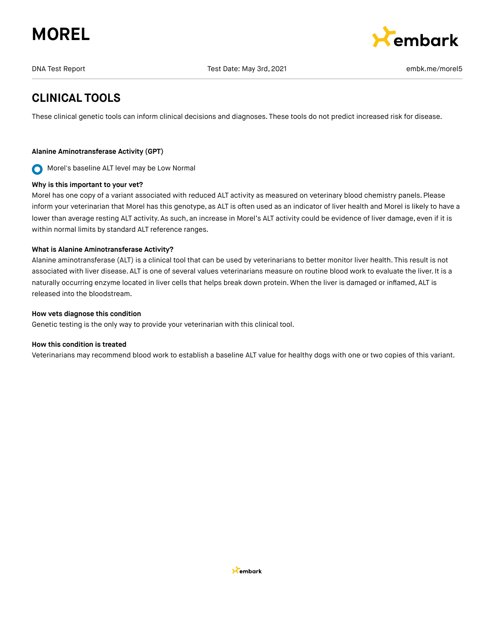



## **CLINICAL TOOLS**

These clinical genetic tools can inform clinical decisions and diagnoses. These tools do not predict increased risk for disease.

#### **Alanine Aminotransferase Activity (GPT)**

Morel's baseline ALT level may be Low Normal  $\mathbf O$ 

#### **Why is this important to your vet?**

Morel has one copy of a variant associated with reduced ALT activity as measured on veterinary blood chemistry panels. Please inform your veterinarian that Morel has this genotype, as ALT is often used as an indicator of liver health and Morel is likely to have a lower than average resting ALT activity. As such, an increase in Morel's ALT activity could be evidence of liver damage, even if it is within normal limits by standard ALT reference ranges.

#### **What is Alanine Aminotransferase Activity?**

Alanine aminotransferase (ALT) is a clinical tool that can be used by veterinarians to better monitor liver health. This result is not associated with liver disease. ALT is one of several values veterinarians measure on routine blood work to evaluate the liver. It is a naturally occurring enzyme located in liver cells that helps break down protein. When the liver is damaged or inflamed, ALT is released into the bloodstream.

#### **How vets diagnose this condition**

Genetic testing is the only way to provide your veterinarian with this clinical tool.

#### **How this condition is treated**

Veterinarians may recommend blood work to establish a baseline ALT value for healthy dogs with one or two copies of this variant.

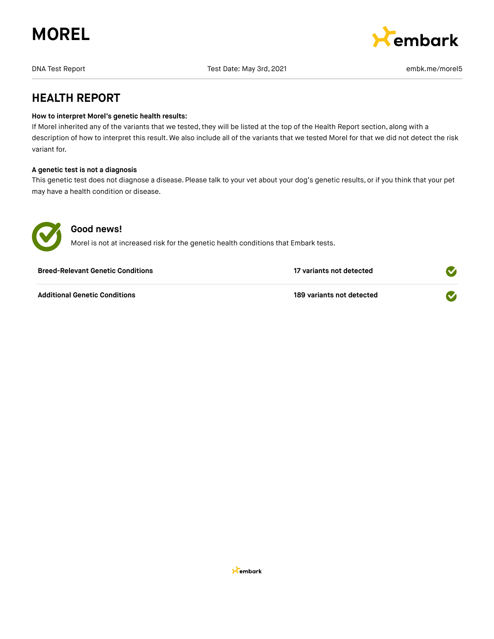



DNA Test Report Test Date: May 3rd, 2021 embk.me/morel5

## **HEALTH REPORT**

#### **How to interpret Morel's genetic health results:**

If Morel inherited any of the variants that we tested, they will be listed at the top of the Health Report section, along with a description of how to interpret this result. We also include all of the variants that we tested Morel for that we did not detect the risk variant for.

#### **A genetic test is not a diagnosis**

This genetic test does not diagnose a disease. Please talk to your vet about your dog's genetic results, or if you think that your pet may have a health condition or disease.



## **Good news!**

Morel is not at increased risk for the genetic health conditions that Embark tests.

| <b>Breed-Relevant Genetic Conditions</b> | 17 variants not detected  |  |
|------------------------------------------|---------------------------|--|
| <b>Additional Genetic Conditions</b>     | 189 variants not detected |  |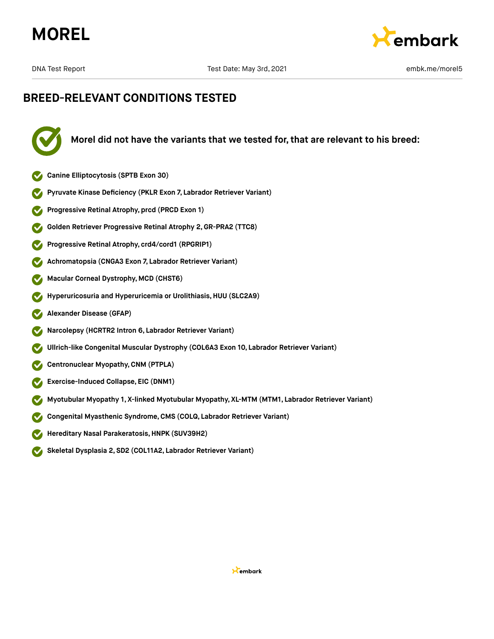



## **BREED-RELEVANT CONDITIONS TESTED**



**Morel did not have the variants that we tested for, that are relevant to his breed:**

- **Canine Elliptocytosis (SPTB Exon 30)**
- **Pyruvate Kinase Deficiency (PKLR Exon 7, Labrador Retriever Variant)**
- **Progressive Retinal Atrophy, prcd (PRCD Exon 1)**
- **Golden Retriever Progressive Retinal Atrophy 2,GR-PRA2 (TTC8)**
- **Progressive Retinal Atrophy, crd4/cord1 (RPGRIP1)**  $\blacktriangledown$
- **Achromatopsia (CNGA3 Exon 7, Labrador Retriever Variant)**  $\blacktriangledown$
- **Macular Corneal Dystrophy, MCD (CHST6)**
- **Hyperuricosuria and Hyperuricemia or Urolithiasis, HUU (SLC2A9)**
- **Alexander Disease (GFAP)**  $\blacktriangledown$
- **Narcolepsy (HCRTR2 Intron 6, Labrador Retriever Variant)**
- **Ullrich-like Congenital Muscular Dystrophy (COL6A3 Exon 10, Labrador Retriever Variant)**  $\boldsymbol{\triangledown}$
- **Centronuclear Myopathy,CNM (PTPLA)**  $\blacktriangledown$
- **Exercise-Induced Collapse, EIC (DNM1)**  $\blacktriangledown$
- **Myotubular Myopathy 1, X-linked Myotubular Myopathy, XL-MTM (MTM1, Labrador Retriever Variant)**
- **Congenital Myasthenic Syndrome,CMS (COLQ, Labrador Retriever Variant)**
- **Hereditary Nasal Parakeratosis,HNPK (SUV39H2)**
- **Skeletal Dysplasia 2, SD2 (COL11A2, Labrador Retriever Variant)**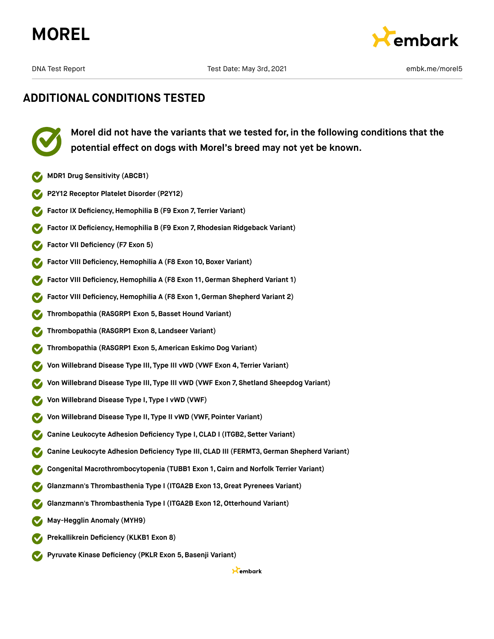



## **ADDITIONAL CONDITIONS TESTED**

**Morel did not have the variants that we tested for, in the following conditions that the potential effect on dogs with Morel's breed may not yet be known.**

- **MDR1 Drug Sensitivity (ABCB1)**
- **P2Y12 Receptor Platelet Disorder (P2Y12)**
- **Factor IX Deficiency, Hemophilia B (F9 Exon 7, Terrier Variant)**
- **Factor IX Deficiency, Hemophilia B (F9 Exon 7, Rhodesian Ridgeback Variant)**
- **Factor VII Deficiency (F7 Exon 5)**
- **Factor VIII Deficiency, Hemophilia A (F8 Exon 10, Boxer Variant)**
- **Factor VIII Deficiency,Hemophilia A (F8 Exon 11,German Shepherd Variant 1)**
- **Factor VIII Deficiency,Hemophilia A (F8 Exon 1, German Shepherd Variant 2)**
- **Thrombopathia (RASGRP1 Exon 5,Basset Hound Variant)**
- **Thrombopathia (RASGRP1 Exon 8, Landseer Variant)**
- **Thrombopathia (RASGRP1 Exon 5, American Eskimo Dog Variant)**
- **Von Willebrand Disease Type III, Type III vWD (VWF Exon 4, Terrier Variant)**
- **Von Willebrand Disease Type III, Type III vWD (VWF Exon 7, Shetland Sheepdog Variant)**
- **Von Willebrand Disease Type I, Type I vWD (VWF)**
- **Von Willebrand Disease Type II, Type II vWD (VWF, Pointer Variant)**
- **Canine Leukocyte Adhesion Deficiency Type I,CLAD I (ITGB2, Setter Variant)**
- **Canine Leukocyte Adhesion Deficiency Type III, CLAD III (FERMT3,German Shepherd Variant)**
- **Congenital Macrothrombocytopenia (TUBB1 Exon 1, Cairn and Norfolk Terrier Variant)**
- **Glanzmann's Thrombasthenia Type I (ITGA2B Exon 13,Great Pyrenees Variant)**
- **Glanzmann's Thrombasthenia Type I (ITGA2B Exon 12,Otterhound Variant)**
- **May-Hegglin Anomaly (MYH9)**
- **Prekallikrein Deficiency (KLKB1 Exon 8)**
- **Pyruvate Kinase Deficiency (PKLR Exon 5,Basenji Variant)**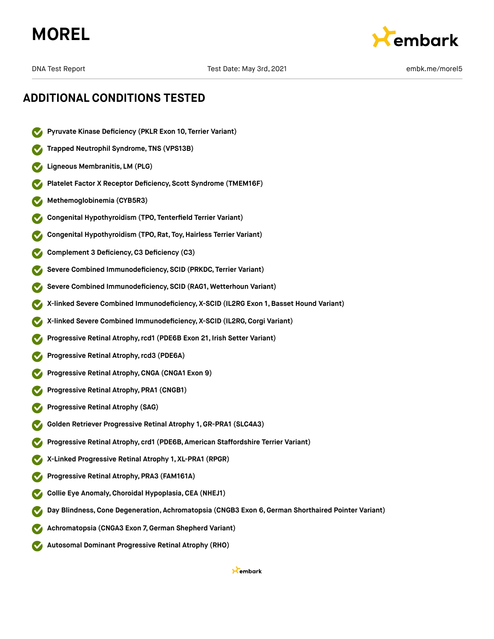



## **ADDITIONAL CONDITIONS TESTED**

- **Pyruvate Kinase Deficiency (PKLR Exon 10, Terrier Variant)**
- **Trapped Neutrophil Syndrome, TNS (VPS13B)**
- **Ligneous Membranitis, LM (PLG)**
- **Platelet Factor X Receptor Deficiency, Scott Syndrome (TMEM16F)**
- **Methemoglobinemia (CYB5R3)**
- **Congenital Hypothyroidism (TPO, Tenterfield Terrier Variant)**
- **Congenital Hypothyroidism (TPO, Rat, Toy,Hairless Terrier Variant)**
- **Complement 3 Deficiency,C3 Deficiency (C3)**
- **Severe Combined Immunodeficiency, SCID (PRKDC, Terrier Variant)**
- **Severe Combined Immunodeficiency, SCID (RAG1, Wetterhoun Variant)**
- **X-linked Severe Combined Immunodeficiency, X-SCID (IL2RG Exon 1, Basset Hound Variant)**
- **X-linked Severe Combined Immunodeficiency, X-SCID (IL2RG,Corgi Variant)**
- **Progressive Retinal Atrophy,rcd1 (PDE6B Exon 21, Irish Setter Variant)**
- **Progressive Retinal Atrophy,rcd3 (PDE6A)**
- **Progressive Retinal Atrophy,CNGA (CNGA1 Exon 9)**
- **Progressive Retinal Atrophy, PRA1 (CNGB1)**
- **Progressive Retinal Atrophy (SAG)**
- **Golden Retriever Progressive Retinal Atrophy 1, GR-PRA1 (SLC4A3)**
- **Progressive Retinal Atrophy, crd1 (PDE6B, American Staffordshire Terrier Variant)**
- **X-Linked Progressive Retinal Atrophy 1, XL-PRA1 (RPGR)**
- **Progressive Retinal Atrophy, PRA3 (FAM161A)**
- **Collie Eye Anomaly,Choroidal Hypoplasia,CEA (NHEJ1)**
- **Day Blindness,Cone Degeneration, Achromatopsia (CNGB3 Exon 6,German Shorthaired Pointer Variant)**
- **Achromatopsia (CNGA3 Exon 7,German Shepherd Variant)**
- **Autosomal Dominant Progressive Retinal Atrophy (RHO)**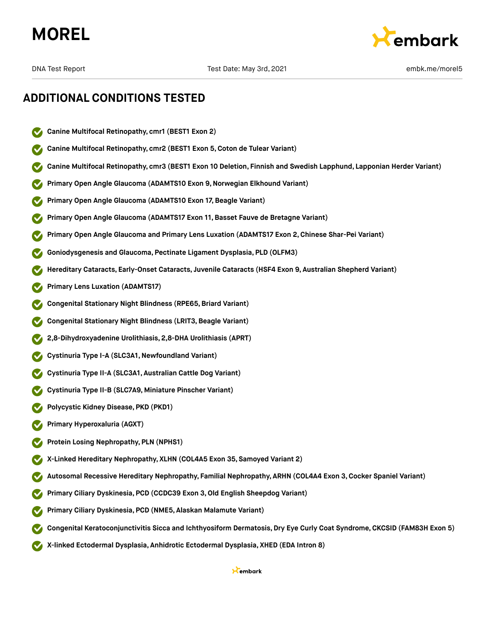



## **ADDITIONAL CONDITIONS TESTED**

- **Canine Multifocal Retinopathy, cmr1 (BEST1 Exon 2)**
- **Canine Multifocal Retinopathy, cmr2 (BEST1 Exon 5,Coton de Tulear Variant)**
- **Canine Multifocal Retinopathy, cmr3 (BEST1 Exon 10 Deletion, Finnish and Swedish Lapphund, Lapponian Herder Variant)**
- **Primary Open Angle Glaucoma (ADAMTS10 Exon 9,Norwegian Elkhound Variant)**
- **Primary Open Angle Glaucoma (ADAMTS10 Exon 17, Beagle Variant)**
- **Primary Open Angle Glaucoma (ADAMTS17 Exon 11,Basset Fauve de Bretagne Variant)**
- **Primary Open Angle Glaucoma and Primary Lens Luxation (ADAMTS17 Exon 2,Chinese Shar-Pei Variant)**
- **Goniodysgenesis and Glaucoma, Pectinate Ligament Dysplasia, PLD (OLFM3)**
- **Hereditary Cataracts, Early-Onset Cataracts, Juvenile Cataracts (HSF4 Exon 9, Australian Shepherd Variant)**
- **Primary Lens Luxation (ADAMTS17)**
- **Congenital Stationary Night Blindness (RPE65,Briard Variant)**
- **Congenital Stationary Night Blindness (LRIT3,Beagle Variant)**
- **2,8-Dihydroxyadenine Urolithiasis, 2,8-DHA Urolithiasis (APRT)**
- **Cystinuria Type I-A (SLC3A1,Newfoundland Variant)**
- **Cystinuria Type II-A (SLC3A1, Australian Cattle Dog Variant)**
- **Cystinuria Type II-B (SLC7A9, Miniature Pinscher Variant)**
- **Polycystic Kidney Disease, PKD (PKD1)**
- **Primary Hyperoxaluria (AGXT)**
- **Protein Losing Nephropathy, PLN (NPHS1)**
- **X-Linked Hereditary Nephropathy, XLHN (COL4A5 Exon 35, Samoyed Variant 2)**
- **Autosomal Recessive Hereditary Nephropathy, Familial Nephropathy, ARHN (COL4A4 Exon 3,Cocker Spaniel Variant)**
- **Primary Ciliary Dyskinesia, PCD (CCDC39 Exon 3,Old English Sheepdog Variant)**
- **Primary Ciliary Dyskinesia, PCD (NME5, Alaskan Malamute Variant)**
- **Congenital Keratoconjunctivitis Sicca and Ichthyosiform Dermatosis, Dry Eye Curly Coat Syndrome, CKCSID (FAM83H Exon 5)**
- **X-linked Ectodermal Dysplasia, Anhidrotic Ectodermal Dysplasia, XHED (EDA Intron 8)**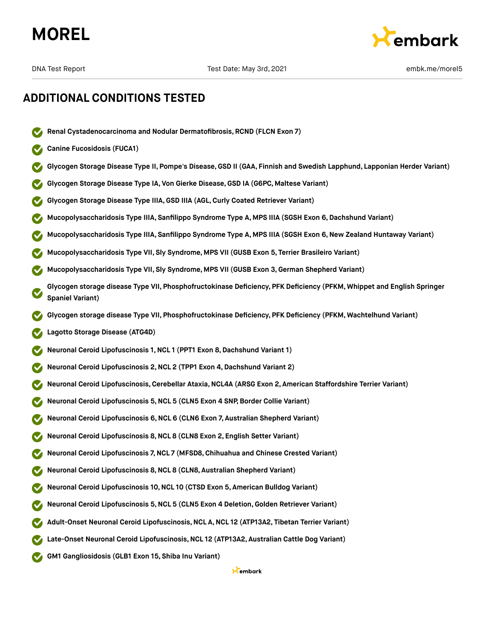



## **ADDITIONAL CONDITIONS TESTED**

- **Renal Cystadenocarcinoma and Nodular Dermatofibrosis, RCND (FLCN Exon 7)**
- **Canine Fucosidosis (FUCA1)**
- **Glycogen Storage Disease Type II, Pompe's Disease,GSD II (GAA, Finnish and Swedish Lapphund, Lapponian Herder Variant)**
- **Glycogen Storage Disease Type IA, Von Gierke Disease,GSD IA (G6PC, Maltese Variant)**
- **Glycogen Storage Disease Type IIIA,GSD IIIA (AGL,Curly Coated Retriever Variant)**
- **Mucopolysaccharidosis Type IIIA, Sanfilippo Syndrome Type A, MPS IIIA (SGSH Exon 6,Dachshund Variant)**
- **Mucopolysaccharidosis Type IIIA, Sanfilippo Syndrome Type A, MPS IIIA (SGSH Exon 6,New Zealand Huntaway Variant)**
- **Mucopolysaccharidosis Type VII, Sly Syndrome, MPS VII (GUSB Exon 5, Terrier Brasileiro Variant)**
- **Mucopolysaccharidosis Type VII, Sly Syndrome, MPS VII (GUSB Exon 3,German Shepherd Variant)**
- **Glycogen storage disease Type VII, Phosphofructokinase Deficiency, PFK Deficiency (PFKM, Whippet and English Springer Spaniel Variant)**
- **Glycogen storage disease Type VII, Phosphofructokinase Deficiency, PFK Deficiency (PFKM, Wachtelhund Variant)**
- **Lagotto Storage Disease (ATG4D)**
- **Neuronal Ceroid Lipofuscinosis 1,NCL 1 (PPT1 Exon 8,Dachshund Variant 1)**
- **Neuronal Ceroid Lipofuscinosis 2,NCL 2 (TPP1 Exon 4,Dachshund Variant 2)**
- **Neuronal Ceroid Lipofuscinosis,Cerebellar Ataxia,NCL4A (ARSG Exon 2, American Staffordshire Terrier Variant)**
- **Neuronal Ceroid Lipofuscinosis 5,NCL 5 (CLN5 Exon 4 SNP, Border Collie Variant)**
- **Neuronal Ceroid Lipofuscinosis 6,NCL 6 (CLN6 Exon 7, Australian Shepherd Variant)**
- **Neuronal Ceroid Lipofuscinosis 8,NCL 8 (CLN8 Exon 2, English Setter Variant)**
- **Neuronal Ceroid Lipofuscinosis 7,NCL 7 (MFSD8,Chihuahua and Chinese Crested Variant)**
- **Neuronal Ceroid Lipofuscinosis 8,NCL 8 (CLN8, Australian Shepherd Variant)**
- **Neuronal Ceroid Lipofuscinosis 10,NCL 10 (CTSD Exon 5, American Bulldog Variant)**
- **Neuronal Ceroid Lipofuscinosis 5,NCL 5 (CLN5 Exon 4 Deletion,Golden Retriever Variant)**
- **Adult-Onset Neuronal Ceroid Lipofuscinosis,NCL A,NCL 12 (ATP13A2, Tibetan Terrier Variant)**
- **Late-Onset Neuronal Ceroid Lipofuscinosis,NCL 12 (ATP13A2, Australian Cattle Dog Variant)**
- **GM1 Gangliosidosis (GLB1 Exon 15, Shiba Inu Variant)**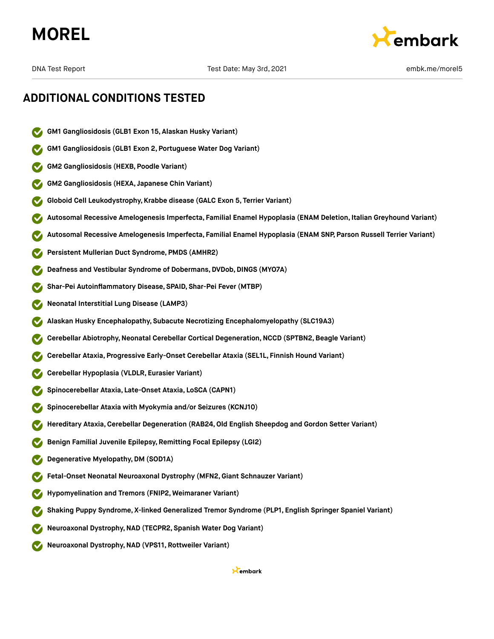



## **ADDITIONAL CONDITIONS TESTED**

- **GM1 Gangliosidosis (GLB1 Exon 15, Alaskan Husky Variant)**
- **GM1 Gangliosidosis (GLB1 Exon 2, Portuguese Water Dog Variant)**
- **GM2 Gangliosidosis (HEXB, Poodle Variant)**
- **GM2 Gangliosidosis (HEXA, Japanese Chin Variant)**
- **Globoid Cell Leukodystrophy, Krabbe disease (GALC Exon 5, Terrier Variant)**
- **Autosomal Recessive Amelogenesis Imperfecta, Familial Enamel Hypoplasia (ENAM Deletion, Italian Greyhound Variant)**
- **Autosomal Recessive Amelogenesis Imperfecta, Familial Enamel Hypoplasia (ENAM SNP, Parson Russell Terrier Variant)**
- **Persistent Mullerian Duct Syndrome, PMDS (AMHR2)**
- **Deafness and Vestibular Syndrome of Dobermans, DVDob,DINGS (MYO7A)**
- **Shar-Pei Autoinflammatory Disease, SPAID, Shar-Pei Fever (MTBP)**
- **Neonatal Interstitial Lung Disease (LAMP3)**
- **Alaskan Husky Encephalopathy, Subacute Necrotizing Encephalomyelopathy (SLC19A3)**
- **Cerebellar Abiotrophy,Neonatal Cerebellar Cortical Degeneration,NCCD (SPTBN2,Beagle Variant)**
- **Cerebellar Ataxia, Progressive Early-Onset Cerebellar Ataxia (SEL1L, Finnish Hound Variant)**
- **Cerebellar Hypoplasia (VLDLR, Eurasier Variant)**
- **Spinocerebellar Ataxia, Late-Onset Ataxia, LoSCA (CAPN1)**
- **Spinocerebellar Ataxia with Myokymia and/or Seizures (KCNJ10)**
- **Hereditary Ataxia,Cerebellar Degeneration (RAB24,Old English Sheepdog and Gordon Setter Variant)**
- **Benign Familial Juvenile Epilepsy, Remitting Focal Epilepsy (LGI2)**
- **Degenerative Myelopathy,DM (SOD1A)**
- **Fetal-Onset Neonatal Neuroaxonal Dystrophy (MFN2,Giant Schnauzer Variant)**
- **Hypomyelination and Tremors (FNIP2, Weimaraner Variant)**
- **Shaking Puppy Syndrome, X-linked Generalized Tremor Syndrome (PLP1, English Springer Spaniel Variant)**
- **Neuroaxonal Dystrophy,NAD (TECPR2, Spanish Water Dog Variant)**
- **Neuroaxonal Dystrophy,NAD (VPS11, Rottweiler Variant)**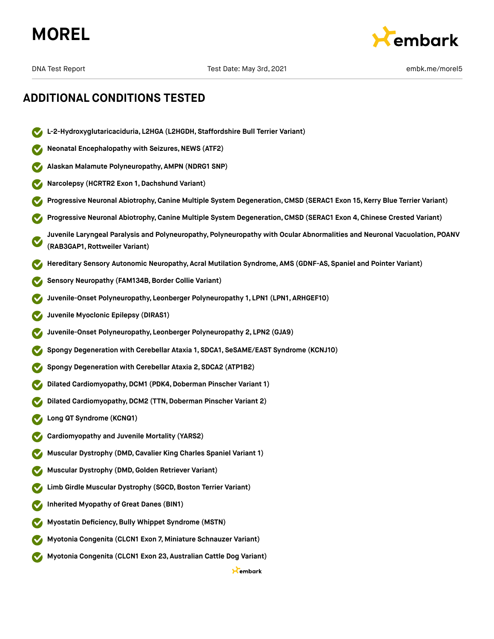



## **ADDITIONAL CONDITIONS TESTED**

- **L-2-Hydroxyglutaricaciduria, L2HGA (L2HGDH, Staffordshire Bull Terrier Variant)**
- **Neonatal Encephalopathy with Seizures, NEWS (ATF2)**
- **Alaskan Malamute Polyneuropathy, AMPN (NDRG1 SNP)**
- **Narcolepsy (HCRTR2 Exon 1,Dachshund Variant)**
- **Progressive Neuronal Abiotrophy,Canine Multiple System Degeneration,CMSD (SERAC1 Exon 15, Kerry Blue Terrier Variant)**
- **Progressive Neuronal Abiotrophy,Canine Multiple System Degeneration,CMSD (SERAC1 Exon 4, Chinese Crested Variant)**
- **Juvenile Laryngeal Paralysis and Polyneuropathy, Polyneuropathy with Ocular Abnormalities and Neuronal Vacuolation, POANV (RAB3GAP1, Rottweiler Variant)**
- **Hereditary Sensory Autonomic Neuropathy, Acral Mutilation Syndrome, AMS (GDNF-AS, Spaniel and Pointer Variant)**
- **Sensory Neuropathy (FAM134B, Border Collie Variant)**
- **Juvenile-Onset Polyneuropathy, Leonberger Polyneuropathy 1, LPN1 (LPN1, ARHGEF10)**
- **Juvenile Myoclonic Epilepsy (DIRAS1)**
- **Juvenile-Onset Polyneuropathy, Leonberger Polyneuropathy 2, LPN2 (GJA9)**
- **Spongy Degeneration with Cerebellar Ataxia 1, SDCA1, SeSAME/EAST Syndrome (KCNJ10)**
- **Spongy Degeneration with Cerebellar Ataxia 2, SDCA2 (ATP1B2)**
- **Dilated Cardiomyopathy,DCM1 (PDK4,Doberman Pinscher Variant 1)**
- **Dilated Cardiomyopathy, DCM2 (TTN, Doberman Pinscher Variant 2)**
- **Long QT Syndrome (KCNQ1)**
- **Cardiomyopathy and Juvenile Mortality (YARS2)**
- **Muscular Dystrophy (DMD,Cavalier King Charles Spaniel Variant 1)**
- **Muscular Dystrophy (DMD,Golden Retriever Variant)**
- **Limb Girdle Muscular Dystrophy (SGCD, Boston Terrier Variant)**
- **Inherited Myopathy of Great Danes (BIN1)**
- **Myostatin Deficiency,Bully Whippet Syndrome (MSTN)**
- **Myotonia Congenita (CLCN1 Exon 7, Miniature Schnauzer Variant)**
- **Myotonia Congenita (CLCN1 Exon 23, Australian Cattle Dog Variant)**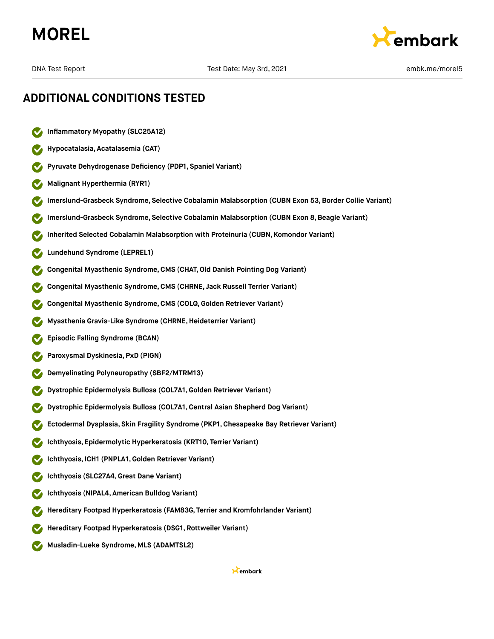# **MOREL**



## **ADDITIONAL CONDITIONS TESTED**

- **Inflammatory Myopathy (SLC25A12)**
- **Hypocatalasia, Acatalasemia (CAT)**
- **Pyruvate Dehydrogenase Deficiency (PDP1, Spaniel Variant)**
- **Malignant Hyperthermia (RYR1)**
- **Imerslund-Grasbeck Syndrome, Selective Cobalamin Malabsorption (CUBN Exon 53,Border Collie Variant)**
- **Imerslund-Grasbeck Syndrome, Selective Cobalamin Malabsorption (CUBN Exon 8,Beagle Variant)**
- **Inherited Selected Cobalamin Malabsorption with Proteinuria (CUBN, Komondor Variant)**
- **Lundehund Syndrome (LEPREL1)**
- **Congenital Myasthenic Syndrome,CMS (CHAT,Old Danish Pointing Dog Variant)**
- **Congenital Myasthenic Syndrome,CMS (CHRNE, Jack Russell Terrier Variant)**
- **Congenital Myasthenic Syndrome,CMS (COLQ, Golden Retriever Variant)**
- **Myasthenia Gravis-Like Syndrome (CHRNE,Heideterrier Variant)**
- **Episodic Falling Syndrome (BCAN)**
- **Paroxysmal Dyskinesia, PxD (PIGN)**
- **Demyelinating Polyneuropathy (SBF2/MTRM13)**
- **Dystrophic Epidermolysis Bullosa (COL7A1,Golden Retriever Variant)**
- **Dystrophic Epidermolysis Bullosa (COL7A1,Central Asian Shepherd Dog Variant)**
- **Ectodermal Dysplasia, Skin Fragility Syndrome (PKP1, Chesapeake Bay Retriever Variant)**
- **Ichthyosis, Epidermolytic Hyperkeratosis (KRT10, Terrier Variant)**
- **Ichthyosis, ICH1 (PNPLA1,Golden Retriever Variant)**
- **Ichthyosis (SLC27A4,Great Dane Variant)**
- **Ichthyosis (NIPAL4, American Bulldog Variant)**
- **Hereditary Footpad Hyperkeratosis (FAM83G, Terrier and Kromfohrlander Variant)**
- **Hereditary Footpad Hyperkeratosis (DSG1, Rottweiler Variant)**
- **Musladin-Lueke Syndrome, MLS (ADAMTSL2)**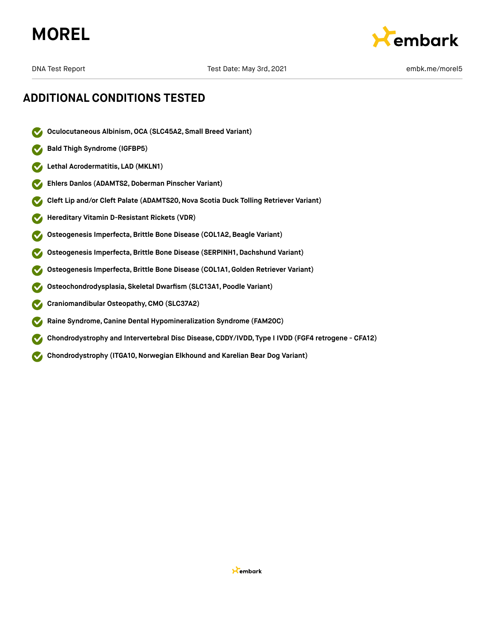



## **ADDITIONAL CONDITIONS TESTED**

- **Oculocutaneous Albinism,OCA (SLC45A2, Small Breed Variant)**  $\boldsymbol{\triangledown}$
- **Bald Thigh Syndrome (IGFBP5)**  $\checkmark$
- **Lethal Acrodermatitis, LAD (MKLN1)**  $\checkmark$
- **Ehlers Danlos (ADAMTS2,Doberman Pinscher Variant)**  $\boldsymbol{\mathcal{J}}$
- **Cleft Lip and/or Cleft Palate (ADAMTS20,Nova Scotia Duck Tolling Retriever Variant)**  $\blacktriangledown$
- **Hereditary Vitamin D-Resistant Rickets (VDR)**
- **Osteogenesis Imperfecta,Brittle Bone Disease (COL1A2,Beagle Variant)**
- **Osteogenesis Imperfecta,Brittle Bone Disease (SERPINH1, Dachshund Variant)**
- **Osteogenesis Imperfecta,Brittle Bone Disease (COL1A1,Golden Retriever Variant)**
- **Osteochondrodysplasia, Skeletal Dwarfism (SLC13A1, Poodle Variant)**
- **Craniomandibular Osteopathy,CMO (SLC37A2)**  $\blacktriangledown$
- **Raine Syndrome,Canine Dental Hypomineralization Syndrome (FAM20C)**  $\blacktriangledown$
- **Chondrodystrophy and Intervertebral Disc Disease,CDDY/IVDD, Type I IVDD (FGF4 retrogene CFA12)**  $\blacktriangledown$
- **Chondrodystrophy** (ITGA10, Norwegian Elkhound and Karelian Bear Dog Variant)